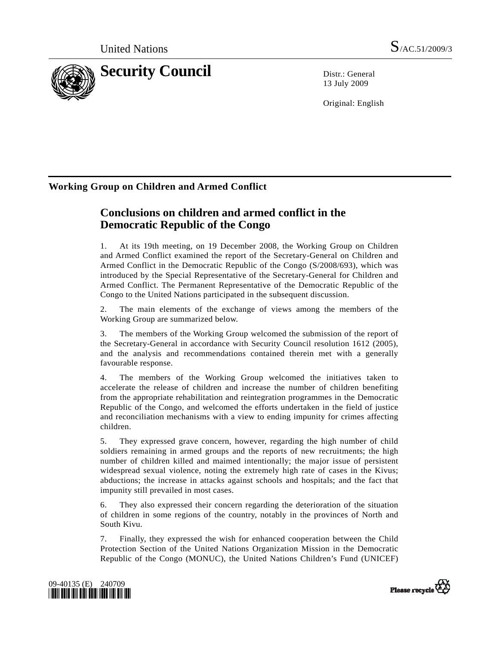

13 July 2009

Original: English

## **Working Group on Children and Armed Conflict**

# **Conclusions on children and armed conflict in the Democratic Republic of the Congo**

1. At its 19th meeting, on 19 December 2008, the Working Group on Children and Armed Conflict examined the report of the Secretary-General on Children and Armed Conflict in the Democratic Republic of the Congo (S/2008/693), which was introduced by the Special Representative of the Secretary-General for Children and Armed Conflict. The Permanent Representative of the Democratic Republic of the Congo to the United Nations participated in the subsequent discussion.

2. The main elements of the exchange of views among the members of the Working Group are summarized below.

3. The members of the Working Group welcomed the submission of the report of the Secretary-General in accordance with Security Council resolution 1612 (2005), and the analysis and recommendations contained therein met with a generally favourable response.

4. The members of the Working Group welcomed the initiatives taken to accelerate the release of children and increase the number of children benefiting from the appropriate rehabilitation and reintegration programmes in the Democratic Republic of the Congo, and welcomed the efforts undertaken in the field of justice and reconciliation mechanisms with a view to ending impunity for crimes affecting children.

5. They expressed grave concern, however, regarding the high number of child soldiers remaining in armed groups and the reports of new recruitments; the high number of children killed and maimed intentionally; the major issue of persistent widespread sexual violence, noting the extremely high rate of cases in the Kivus; abductions; the increase in attacks against schools and hospitals; and the fact that impunity still prevailed in most cases.

6. They also expressed their concern regarding the deterioration of the situation of children in some regions of the country, notably in the provinces of North and South Kivu.

7. Finally, they expressed the wish for enhanced cooperation between the Child Protection Section of the United Nations Organization Mission in the Democratic Republic of the Congo (MONUC), the United Nations Children's Fund (UNICEF)



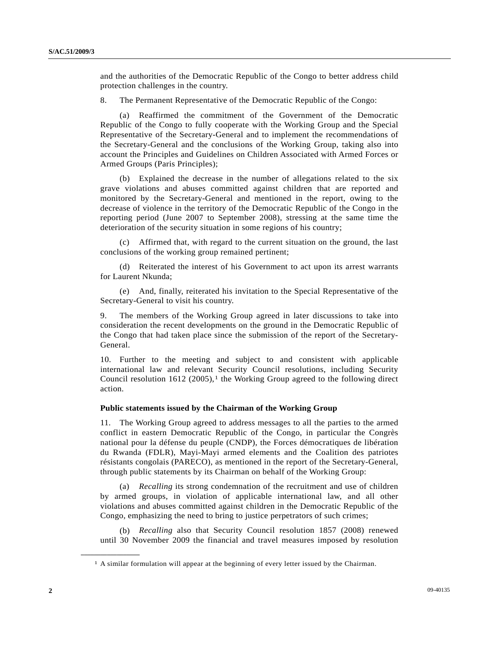and the authorities of the Democratic Republic of the Congo to better address child protection challenges in the country.

8. The Permanent Representative of the Democratic Republic of the Congo:

 (a) Reaffirmed the commitment of the Government of the Democratic Republic of the Congo to fully cooperate with the Working Group and the Special Representative of the Secretary-General and to implement the recommendations of the Secretary-General and the conclusions of the Working Group, taking also into account the Principles and Guidelines on Children Associated with Armed Forces or Armed Groups (Paris Principles);

 (b) Explained the decrease in the number of allegations related to the six grave violations and abuses committed against children that are reported and monitored by the Secretary-General and mentioned in the report, owing to the decrease of violence in the territory of the Democratic Republic of the Congo in the reporting period (June 2007 to September 2008), stressing at the same time the deterioration of the security situation in some regions of his country;

 (c) Affirmed that, with regard to the current situation on the ground, the last conclusions of the working group remained pertinent;

 (d) Reiterated the interest of his Government to act upon its arrest warrants for Laurent Nkunda;

 (e) And, finally, reiterated his invitation to the Special Representative of the Secretary-General to visit his country.

9. The members of the Working Group agreed in later discussions to take into consideration the recent developments on the ground in the Democratic Republic of the Congo that had taken place since the submission of the report of the Secretary-General.

10. Further to the meeting and subject to and consistent with applicable international law and relevant Security Council resolutions, including Security Council resolution  $1612$  (2005),<sup>1</sup> the Working Group agreed to the following direct action.

#### **Public statements issued by the Chairman of the Working Group**

11. The Working Group agreed to address messages to all the parties to the armed conflict in eastern Democratic Republic of the Congo, in particular the Congrès national pour la défense du peuple (CNDP), the Forces démocratiques de libération du Rwanda (FDLR), Mayi-Mayi armed elements and the Coalition des patriotes résistants congolais (PARECO), as mentioned in the report of the Secretary-General, through public statements by its Chairman on behalf of the Working Group:

 (a) *Recalling* its strong condemnation of the recruitment and use of children by armed groups, in violation of applicable international law, and all other violations and abuses committed against children in the Democratic Republic of the Congo, emphasizing the need to bring to justice perpetrators of such crimes;

 (b) *Recalling* also that Security Council resolution 1857 (2008) renewed until 30 November 2009 the financial and travel measures imposed by resolution

<span id="page-1-0"></span>**\_\_\_\_\_\_\_\_\_\_\_\_\_\_\_\_\_\_** 

 $<sup>1</sup>$  A similar formulation will appear at the beginning of every letter issued by the Chairman.</sup>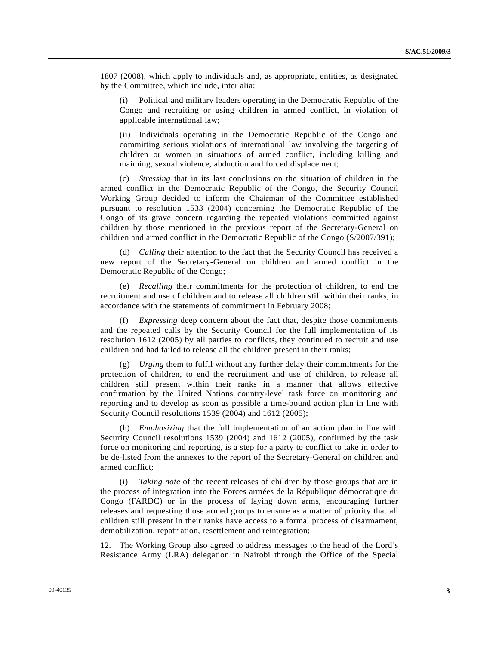1807 (2008), which apply to individuals and, as appropriate, entities, as designated by the Committee, which include, inter alia:

 (i) Political and military leaders operating in the Democratic Republic of the Congo and recruiting or using children in armed conflict, in violation of applicable international law;

 (ii) Individuals operating in the Democratic Republic of the Congo and committing serious violations of international law involving the targeting of children or women in situations of armed conflict, including killing and maiming, sexual violence, abduction and forced displacement;

 (c) *Stressing* that in its last conclusions on the situation of children in the armed conflict in the Democratic Republic of the Congo, the Security Council Working Group decided to inform the Chairman of the Committee established pursuant to resolution 1533 (2004) concerning the Democratic Republic of the Congo of its grave concern regarding the repeated violations committed against children by those mentioned in the previous report of the Secretary-General on children and armed conflict in the Democratic Republic of the Congo (S/2007/391);

 (d) *Calling* their attention to the fact that the Security Council has received a new report of the Secretary-General on children and armed conflict in the Democratic Republic of the Congo;

 (e) *Recalling* their commitments for the protection of children, to end the recruitment and use of children and to release all children still within their ranks, in accordance with the statements of commitment in February 2008;

 (f) *Expressing* deep concern about the fact that, despite those commitments and the repeated calls by the Security Council for the full implementation of its resolution 1612 (2005) by all parties to conflicts, they continued to recruit and use children and had failed to release all the children present in their ranks;

 (g) *Urging* them to fulfil without any further delay their commitments for the protection of children, to end the recruitment and use of children, to release all children still present within their ranks in a manner that allows effective confirmation by the United Nations country-level task force on monitoring and reporting and to develop as soon as possible a time-bound action plan in line with Security Council resolutions 1539 (2004) and 1612 (2005);

 (h) *Emphasizing* that the full implementation of an action plan in line with Security Council resolutions 1539 (2004) and 1612 (2005), confirmed by the task force on monitoring and reporting, is a step for a party to conflict to take in order to be de-listed from the annexes to the report of the Secretary-General on children and armed conflict;

 (i) *Taking note* of the recent releases of children by those groups that are in the process of integration into the Forces armées de la République démocratique du Congo (FARDC) or in the process of laying down arms, encouraging further releases and requesting those armed groups to ensure as a matter of priority that all children still present in their ranks have access to a formal process of disarmament, demobilization, repatriation, resettlement and reintegration;

12. The Working Group also agreed to address messages to the head of the Lord's Resistance Army (LRA) delegation in Nairobi through the Office of the Special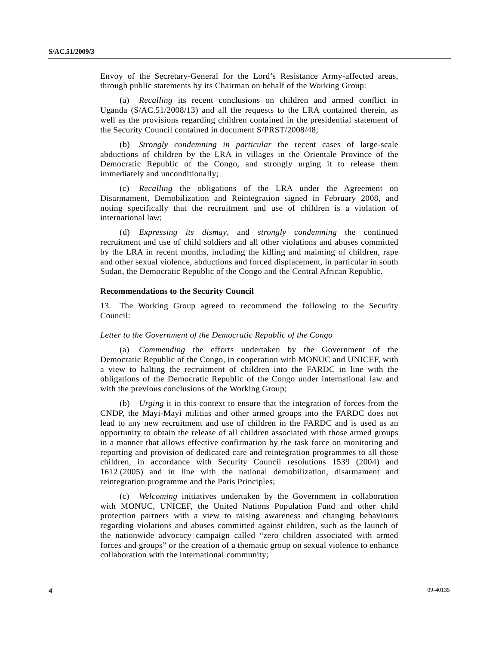Envoy of the Secretary-General for the Lord's Resistance Army-affected areas, through public statements by its Chairman on behalf of the Working Group:

 (a) *Recalling* its recent conclusions on children and armed conflict in Uganda (S/AC.51/2008/13) and all the requests to the LRA contained therein, as well as the provisions regarding children contained in the presidential statement of the Security Council contained in document S/PRST/2008/48;

 (b) *Strongly condemning in particular* the recent cases of large-scale abductions of children by the LRA in villages in the Orientale Province of the Democratic Republic of the Congo, and strongly urging it to release them immediately and unconditionally;

 (c) *Recalling* the obligations of the LRA under the Agreement on Disarmament, Demobilization and Reintegration signed in February 2008, and noting specifically that the recruitment and use of children is a violation of international law;

 (d) *Expressing its dismay*, and *strongly condemning* the continued recruitment and use of child soldiers and all other violations and abuses committed by the LRA in recent months, including the killing and maiming of children, rape and other sexual violence, abductions and forced displacement, in particular in south Sudan, the Democratic Republic of the Congo and the Central African Republic.

#### **Recommendations to the Security Council**

13. The Working Group agreed to recommend the following to the Security Council:

#### *Letter to the Government of the Democratic Republic of the Congo*

 (a) *Commending* the efforts undertaken by the Government of the Democratic Republic of the Congo, in cooperation with MONUC and UNICEF, with a view to halting the recruitment of children into the FARDC in line with the obligations of the Democratic Republic of the Congo under international law and with the previous conclusions of the Working Group;

 (b) *Urging* it in this context to ensure that the integration of forces from the CNDP, the Mayi-Mayi militias and other armed groups into the FARDC does not lead to any new recruitment and use of children in the FARDC and is used as an opportunity to obtain the release of all children associated with those armed groups in a manner that allows effective confirmation by the task force on monitoring and reporting and provision of dedicated care and reintegration programmes to all those children, in accordance with Security Council resolutions 1539 (2004) and 1612 (2005) and in line with the national demobilization, disarmament and reintegration programme and the Paris Principles;

 (c) *Welcoming* initiatives undertaken by the Government in collaboration with MONUC, UNICEF, the United Nations Population Fund and other child protection partners with a view to raising awareness and changing behaviours regarding violations and abuses committed against children, such as the launch of the nationwide advocacy campaign called "zero children associated with armed forces and groups" or the creation of a thematic group on sexual violence to enhance collaboration with the international community;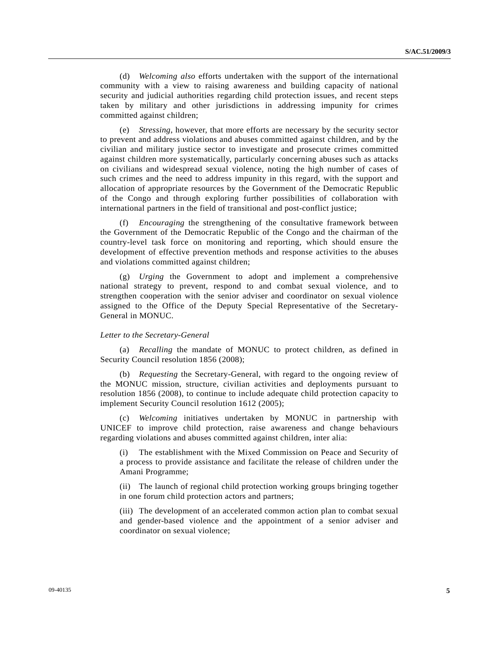(d) *Welcoming also* efforts undertaken with the support of the international community with a view to raising awareness and building capacity of national security and judicial authorities regarding child protection issues, and recent steps taken by military and other jurisdictions in addressing impunity for crimes committed against children;

 (e) *Stressing*, however, that more efforts are necessary by the security sector to prevent and address violations and abuses committed against children, and by the civilian and military justice sector to investigate and prosecute crimes committed against children more systematically, particularly concerning abuses such as attacks on civilians and widespread sexual violence, noting the high number of cases of such crimes and the need to address impunity in this regard, with the support and allocation of appropriate resources by the Government of the Democratic Republic of the Congo and through exploring further possibilities of collaboration with international partners in the field of transitional and post-conflict justice;

 (f) *Encouraging* the strengthening of the consultative framework between the Government of the Democratic Republic of the Congo and the chairman of the country-level task force on monitoring and reporting, which should ensure the development of effective prevention methods and response activities to the abuses and violations committed against children;

 (g) *Urging* the Government to adopt and implement a comprehensive national strategy to prevent, respond to and combat sexual violence, and to strengthen cooperation with the senior adviser and coordinator on sexual violence assigned to the Office of the Deputy Special Representative of the Secretary-General in MONUC.

#### *Letter to the Secretary-General*

 (a) *Recalling* the mandate of MONUC to protect children, as defined in Security Council resolution 1856 (2008);

 (b) *Requesting* the Secretary-General, with regard to the ongoing review of the MONUC mission, structure, civilian activities and deployments pursuant to resolution 1856 (2008), to continue to include adequate child protection capacity to implement Security Council resolution 1612 (2005);

 (c) *Welcoming* initiatives undertaken by MONUC in partnership with UNICEF to improve child protection, raise awareness and change behaviours regarding violations and abuses committed against children, inter alia:

 (i) The establishment with the Mixed Commission on Peace and Security of a process to provide assistance and facilitate the release of children under the Amani Programme;

 (ii) The launch of regional child protection working groups bringing together in one forum child protection actors and partners;

 (iii) The development of an accelerated common action plan to combat sexual and gender-based violence and the appointment of a senior adviser and coordinator on sexual violence;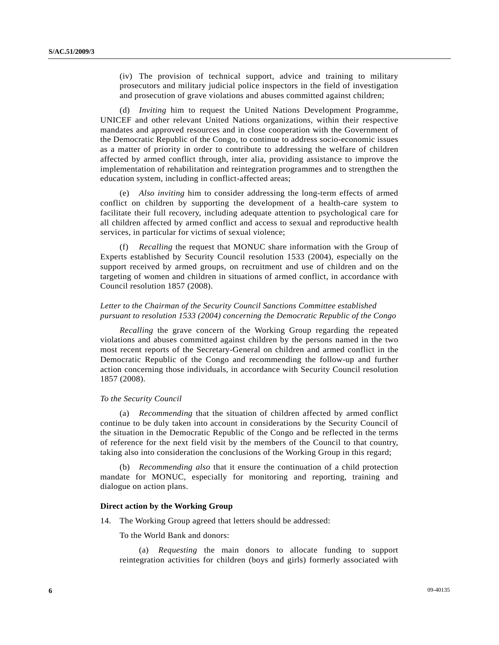(iv) The provision of technical support, advice and training to military prosecutors and military judicial police inspectors in the field of investigation and prosecution of grave violations and abuses committed against children;

 (d) *Inviting* him to request the United Nations Development Programme, UNICEF and other relevant United Nations organizations, within their respective mandates and approved resources and in close cooperation with the Government of the Democratic Republic of the Congo, to continue to address socio-economic issues as a matter of priority in order to contribute to addressing the welfare of children affected by armed conflict through, inter alia, providing assistance to improve the implementation of rehabilitation and reintegration programmes and to strengthen the education system, including in conflict-affected areas;

 (e) *Also inviting* him to consider addressing the long-term effects of armed conflict on children by supporting the development of a health-care system to facilitate their full recovery, including adequate attention to psychological care for all children affected by armed conflict and access to sexual and reproductive health services, in particular for victims of sexual violence;

 (f) *Recalling* the request that MONUC share information with the Group of Experts established by Security Council resolution 1533 (2004), especially on the support received by armed groups, on recruitment and use of children and on the targeting of women and children in situations of armed conflict, in accordance with Council resolution 1857 (2008).

## *Letter to the Chairman of the Security Council Sanctions Committee established pursuant to resolution 1533 (2004) concerning the Democratic Republic of the Congo*

*Recalling* the grave concern of the Working Group regarding the repeated violations and abuses committed against children by the persons named in the two most recent reports of the Secretary-General on children and armed conflict in the Democratic Republic of the Congo and recommending the follow-up and further action concerning those individuals, in accordance with Security Council resolution 1857 (2008).

#### *To the Security Council*

 (a) *Recommending* that the situation of children affected by armed conflict continue to be duly taken into account in considerations by the Security Council of the situation in the Democratic Republic of the Congo and be reflected in the terms of reference for the next field visit by the members of the Council to that country, taking also into consideration the conclusions of the Working Group in this regard;

 (b) *Recommending also* that it ensure the continuation of a child protection mandate for MONUC, especially for monitoring and reporting, training and dialogue on action plans.

### **Direct action by the Working Group**

14. The Working Group agreed that letters should be addressed:

To the World Bank and donors:

 (a) *Requesting* the main donors to allocate funding to support reintegration activities for children (boys and girls) formerly associated with